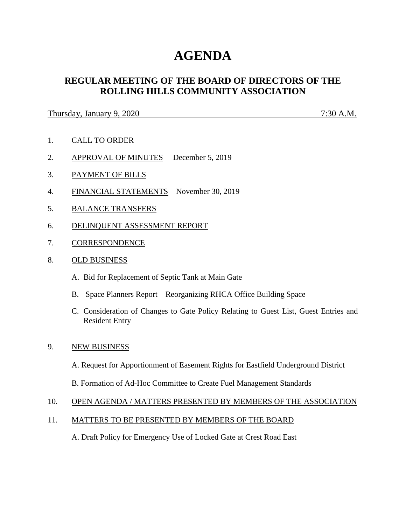# **AGENDA**

# **REGULAR MEETING OF THE BOARD OF DIRECTORS OF THE ROLLING HILLS COMMUNITY ASSOCIATION**

Thursday, January 9, 2020 7:30 A.M.

- 1. CALL TO ORDER
- 2. APPROVAL OF MINUTES December 5, 2019
- 3. PAYMENT OF BILLS
- 4. FINANCIAL STATEMENTS November 30, 2019
- 5. BALANCE TRANSFERS
- 6. DELINQUENT ASSESSMENT REPORT
- 7. CORRESPONDENCE
- 8. OLD BUSINESS
	- A. Bid for Replacement of Septic Tank at Main Gate
	- B. Space Planners Report Reorganizing RHCA Office Building Space
	- C. Consideration of Changes to Gate Policy Relating to Guest List, Guest Entries and Resident Entry

# 9. NEW BUSINESS

A. Request for Apportionment of Easement Rights for Eastfield Underground District

B. Formation of Ad-Hoc Committee to Create Fuel Management Standards

# 10. OPEN AGENDA / MATTERS PRESENTED BY MEMBERS OF THE ASSOCIATION

# 11. MATTERS TO BE PRESENTED BY MEMBERS OF THE BOARD

A. Draft Policy for Emergency Use of Locked Gate at Crest Road East